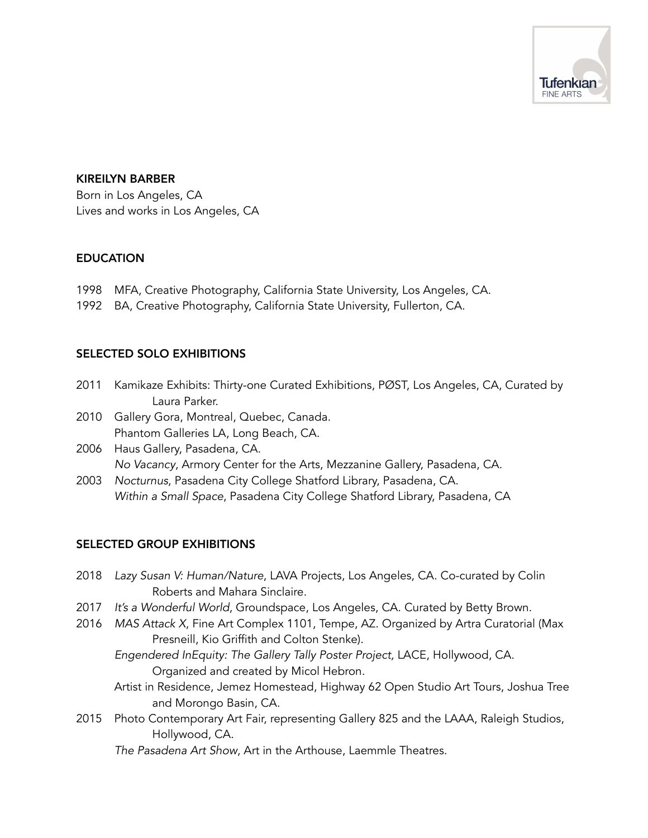

## KIREILYN BARBER

Born in Los Angeles, CA Lives and works in Los Angeles, CA

## EDUCATION

- 1998 MFA, Creative Photography, California State University, Los Angeles, CA.
- 1992 BA, Creative Photography, California State University, Fullerton, CA.

## SELECTED SOLO EXHIBITIONS

- 2011 Kamikaze Exhibits: Thirty-one Curated Exhibitions, PØST, Los Angeles, CA, Curated by Laura Parker.
- 2010 Gallery Gora, Montreal, Quebec, Canada. Phantom Galleries LA, Long Beach, CA.
- 2006 Haus Gallery, Pasadena, CA. *No Vacancy*, Armory Center for the Arts, Mezzanine Gallery, Pasadena, CA.
- 2003 *Nocturnus*, Pasadena City College Shatford Library, Pasadena, CA. *Within a Small Space*, Pasadena City College Shatford Library, Pasadena, CA

## SELECTED GROUP EXHIBITIONS

- 2018 *Lazy Susan V: Human/Nature*, LAVA Projects, Los Angeles, CA. Co-curated by Colin Roberts and Mahara Sinclaire.
- 2017 *It's a Wonderful World*, Groundspace, Los Angeles, CA. Curated by Betty Brown.
- 2016 *MAS Attack X*, Fine Art Complex 1101, Tempe, AZ. Organized by Artra Curatorial (Max Presneill, Kio Griffith and Colton Stenke).
	- *Engendered InEquity: The Gallery Tally Poster Project,* LACE, Hollywood, CA. Organized and created by Micol Hebron.
	- Artist in Residence, Jemez Homestead, Highway 62 Open Studio Art Tours, Joshua Tree and Morongo Basin, CA.
- 2015 Photo Contemporary Art Fair, representing Gallery 825 and the LAAA, Raleigh Studios, Hollywood, CA.

*The Pasadena Art Show*, Art in the Arthouse, Laemmle Theatres.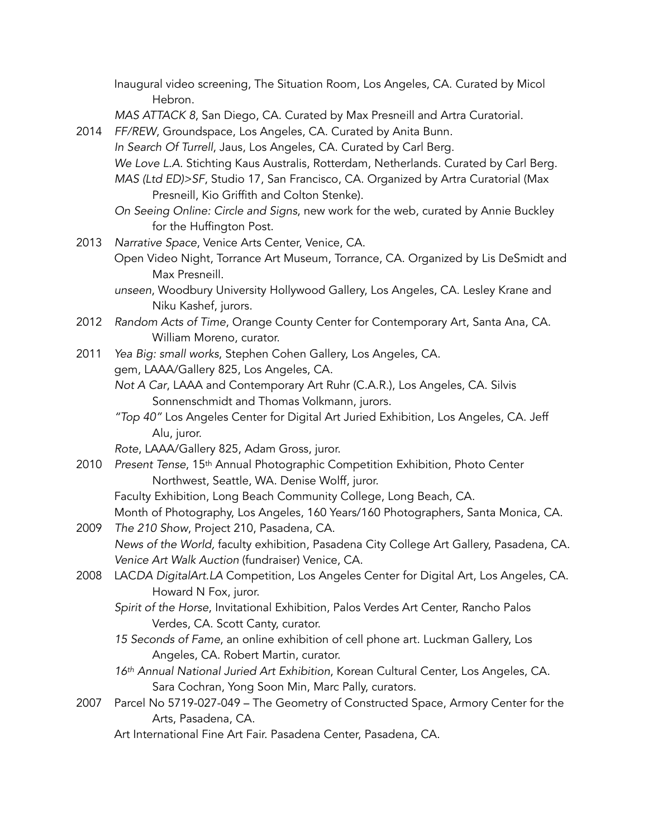Inaugural video screening, The Situation Room, Los Angeles, CA. Curated by Micol Hebron.

- *MAS ATTACK 8*, San Diego, CA. Curated by Max Presneill and Artra Curatorial.
- 2014 *FF/REW*, Groundspace, Los Angeles, CA. Curated by Anita Bunn. *In Search Of Turrell*, Jaus, Los Angeles, CA. Curated by Carl Berg. *We Love L.A.* Stichting Kaus Australis, Rotterdam, Netherlands. Curated by Carl Berg. *MAS (Ltd ED)>SF*, Studio 17, San Francisco, CA. Organized by Artra Curatorial (Max Presneill, Kio Griffith and Colton Stenke).
	- *On Seeing Online: Circle and Signs*, new work for the web, curated by Annie Buckley for the Huffington Post.
- 2013 *Narrative Space*, Venice Arts Center, Venice, CA.
	- Open Video Night, Torrance Art Museum, Torrance, CA. Organized by Lis DeSmidt and Max Presneill.
	- *unseen*, Woodbury University Hollywood Gallery, Los Angeles, CA. Lesley Krane and Niku Kashef, jurors.
- 2012 *Random Acts of Time*, Orange County Center for Contemporary Art, Santa Ana, CA. William Moreno, curator.
- 2011 *Yea Big: small works*, Stephen Cohen Gallery, Los Angeles, CA. gem, LAAA/Gallery 825, Los Angeles, CA.
	- *Not A Car*, LAAA and Contemporary Art Ruhr (C.A.R.), Los Angeles, CA. Silvis Sonnenschmidt and Thomas Volkmann, jurors.
	- *"Top 40"* Los Angeles Center for Digital Art Juried Exhibition, Los Angeles, CA. Jeff Alu, juror.
	- *Rote*, LAAA/Gallery 825, Adam Gross, juror.
- 2010 *Present Tense*, 15th Annual Photographic Competition Exhibition, Photo Center Northwest, Seattle, WA. Denise Wolff, juror.
	- Faculty Exhibition, Long Beach Community College, Long Beach, CA.
	- Month of Photography, Los Angeles, 160 Years/160 Photographers, Santa Monica, CA.
- 2009 *The 210 Show*, Project 210, Pasadena, CA. *News of the World,* faculty exhibition, Pasadena City College Art Gallery, Pasadena, CA. *Venice Art Walk Auction* (fundraiser) Venice, CA.
- 2008 LAC*DA DigitalArt.LA* Competition, Los Angeles Center for Digital Art, Los Angeles, CA. Howard N Fox, juror.
	- *Spirit of the Horse*, Invitational Exhibition, Palos Verdes Art Center, Rancho Palos Verdes, CA. Scott Canty, curator.
	- *15 Seconds of Fame*, an online exhibition of cell phone art. Luckman Gallery, Los Angeles, CA. Robert Martin, curator.
	- *16th Annual National Juried Art Exhibition*, Korean Cultural Center, Los Angeles, CA. Sara Cochran, Yong Soon Min, Marc Pally, curators.
- 2007 Parcel No 5719-027-049 The Geometry of Constructed Space, Armory Center for the Arts, Pasadena, CA.
	- Art International Fine Art Fair. Pasadena Center, Pasadena, CA.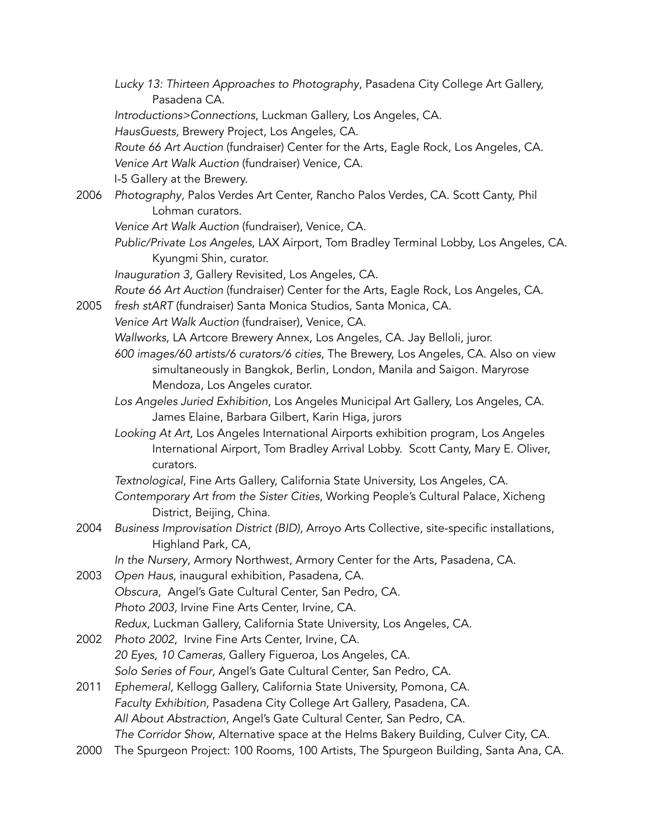- *Lucky 13: Thirteen Approaches to Photography*, Pasadena City College Art Gallery, Pasadena CA.
- *Introductions>Connections*, Luckman Gallery, Los Angeles, CA.

*HausGuests*, Brewery Project, Los Angeles, CA.

*Route 66 Art Auction* (fundraiser) Center for the Arts, Eagle Rock, Los Angeles, CA. *Venice Art Walk Auction* (fundraiser) Venice, CA.

I-5 Gallery at the Brewery.

- 2006 *Photography*, Palos Verdes Art Center, Rancho Palos Verdes, CA. Scott Canty, Phil Lohman curators.
	- *Venice Art Walk Auction* (fundraiser), Venice, CA.
	- *Public/Private Los Angeles*, LAX Airport, Tom Bradley Terminal Lobby, Los Angeles, CA. Kyungmi Shin, curator.

*Inauguration 3*, Gallery Revisited, Los Angeles, CA.

- *Route 66 Art Auction* (fundraiser) Center for the Arts, Eagle Rock, Los Angeles, CA.
- 2005 *fresh stART* (fundraiser) Santa Monica Studios, Santa Monica, CA.

*Venice Art Walk Auction* (fundraiser), Venice, CA.

*Wallworks*, LA Artcore Brewery Annex, Los Angeles, CA. Jay Belloli, juror.

- *600 images/60 artists/6 curators/6 cities*, The Brewery, Los Angeles, CA. Also on view simultaneously in Bangkok, Berlin, London, Manila and Saigon. Maryrose Mendoza, Los Angeles curator.
- *Los Angeles Juried Exhibition*, Los Angeles Municipal Art Gallery, Los Angeles, CA. James Elaine, Barbara Gilbert, Karin Higa, jurors
- *Looking At Art*, Los Angeles International Airports exhibition program, Los Angeles International Airport, Tom Bradley Arrival Lobby. Scott Canty, Mary E. Oliver, curators.
- *Textnological*, Fine Arts Gallery, California State University, Los Angeles, CA.
- *Contemporary Art from the Sister Cities*, Working People's Cultural Palace, Xicheng District, Beijing, China.
- 2004 *Business Improvisation District (BID),* Arroyo Arts Collective, site-specific installations, Highland Park, CA,

*In the Nursery*, Armory Northwest, Armory Center for the Arts, Pasadena, CA.

- 2003 *Open Haus*, inaugural exhibition, Pasadena, CA. *Obscura*, Angel's Gate Cultural Center, San Pedro, CA. *Photo 2003*, Irvine Fine Arts Center, Irvine, CA. *Redux*, Luckman Gallery, California State University, Los Angeles, CA.
- 2002 *Photo 2002*, Irvine Fine Arts Center, Irvine, CA. *20 Eyes, 10 Cameras*, Gallery Figueroa, Los Angeles, CA. *Solo Series of Four*, Angel's Gate Cultural Center, San Pedro, CA.
- 2011 *Ephemeral*, Kellogg Gallery, California State University, Pomona, CA. *Faculty Exhibition*, Pasadena City College Art Gallery, Pasadena, CA. *All About Abstraction*, Angel's Gate Cultural Center, San Pedro, CA. *The Corridor Show*, Alternative space at the Helms Bakery Building, Culver City, CA.
- 2000 The Spurgeon Project: 100 Rooms, 100 Artists, The Spurgeon Building, Santa Ana, CA.